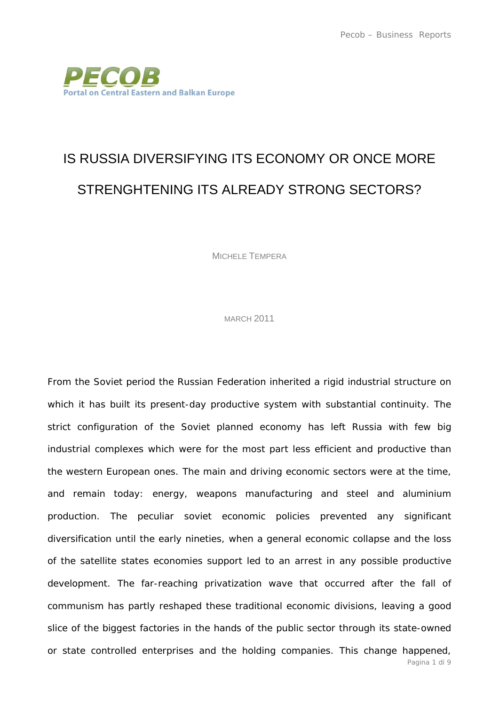

## IS RUSSIA DIVERSIFYING ITS ECONOMY OR ONCE MORE STRENGHTENING ITS ALREADY STRONG SECTORS?

MICHELE TEMPERA

MARCH 2011

From the Soviet period the Russian Federation inherited a rigid industrial structure on which it has built its present-day productive system with substantial continuity. The strict configuration of the Soviet planned economy has left Russia with few big industrial complexes which were for the most part less efficient and productive than the western European ones. The main and driving economic sectors were at the time, and remain today: energy, weapons manufacturing and steel and aluminium production. The peculiar soviet economic policies prevented any significant diversification until the early nineties, when a general economic collapse and the loss of the satellite states economies support led to an arrest in any possible productive development. The far-reaching privatization wave that occurred after the fall of communism has partly reshaped these traditional economic divisions, leaving a good slice of the biggest factories in the hands of the public sector through its state-owned or state controlled enterprises and the holding companies. This change happened,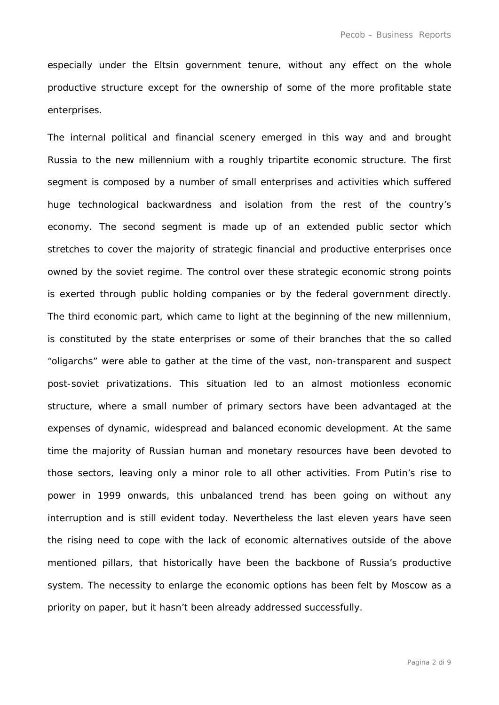especially under the Eltsin government tenure, without any effect on the whole productive structure except for the ownership of some of the more profitable state enterprises.

The internal political and financial scenery emerged in this way and and brought Russia to the new millennium with a roughly tripartite economic structure. The first segment is composed by a number of small enterprises and activities which suffered huge technological backwardness and isolation from the rest of the country's economy. The second segment is made up of an extended public sector which stretches to cover the majority of strategic financial and productive enterprises once owned by the soviet regime. The control over these strategic economic strong points is exerted through public holding companies or by the federal government directly. The third economic part, which came to light at the beginning of the new millennium, is constituted by the state enterprises or some of their branches that the so called "oligarchs" were able to gather at the time of the vast, non-transparent and suspect post-soviet privatizations. This situation led to an almost motionless economic structure, where a small number of primary sectors have been advantaged at the expenses of dynamic, widespread and balanced economic development. At the same time the majority of Russian human and monetary resources have been devoted to those sectors, leaving only a minor role to all other activities. From Putin's rise to power in 1999 onwards, this unbalanced trend has been going on without any interruption and is still evident today. Nevertheless the last eleven years have seen the rising need to cope with the lack of economic alternatives outside of the above mentioned pillars, that historically have been the backbone of Russia's productive system. The necessity to enlarge the economic options has been felt by Moscow as a priority on paper, but it hasn't been already addressed successfully.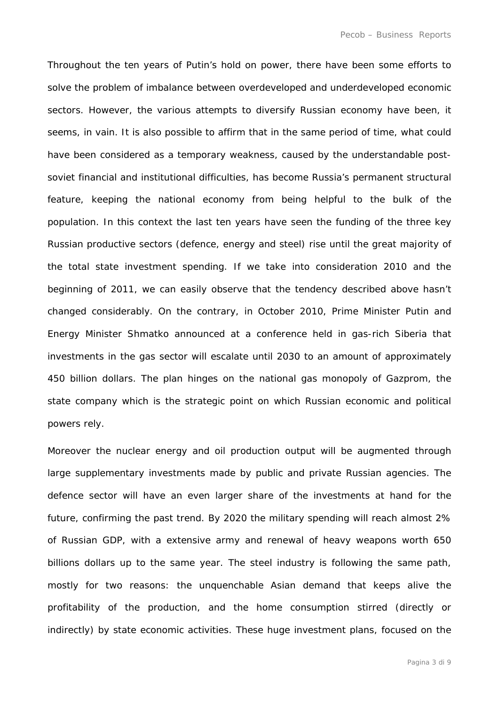Throughout the ten years of Putin's hold on power, there have been some efforts to solve the problem of imbalance between overdeveloped and underdeveloped economic sectors. However, the various attempts to diversify Russian economy have been, it seems, in vain. It is also possible to affirm that in the same period of time, what could have been considered as a temporary weakness, caused by the understandable postsoviet financial and institutional difficulties, has become Russia's permanent structural feature, keeping the national economy from being helpful to the bulk of the population. In this context the last ten years have seen the funding of the three key Russian productive sectors (defence, energy and steel) rise until the great majority of the total state investment spending. If we take into consideration 2010 and the beginning of 2011, we can easily observe that the tendency described above hasn't changed considerably. On the contrary, in October 2010, Prime Minister Putin and Energy Minister Shmatko announced at a conference held in gas-rich Siberia that investments in the gas sector will escalate until 2030 to an amount of approximately 450 billion dollars. The plan hinges on the national gas monopoly of Gazprom, the state company which is the strategic point on which Russian economic and political powers rely.

Moreover the nuclear energy and oil production output will be augmented through large supplementary investments made by public and private Russian agencies. The defence sector will have an even larger share of the investments at hand for the future, confirming the past trend. By 2020 the military spending will reach almost 2% of Russian GDP, with a extensive army and renewal of heavy weapons worth 650 billions dollars up to the same year. The steel industry is following the same path, mostly for two reasons: the unquenchable Asian demand that keeps alive the profitability of the production, and the home consumption stirred (directly or indirectly) by state economic activities. These huge investment plans, focused on the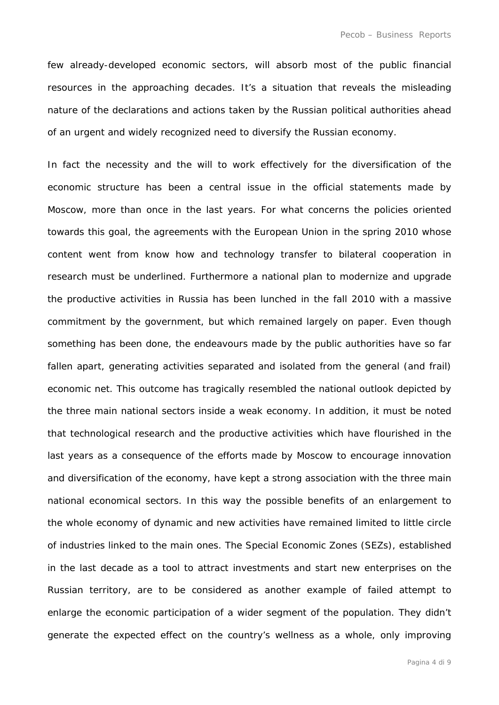few already-developed economic sectors, will absorb most of the public financial resources in the approaching decades. It's a situation that reveals the misleading nature of the declarations and actions taken by the Russian political authorities ahead of an urgent and widely recognized need to diversify the Russian economy.

In fact the necessity and the will to work effectively for the diversification of the economic structure has been a central issue in the official statements made by Moscow, more than once in the last years. For what concerns the policies oriented towards this goal, the agreements with the European Union in the spring 2010 whose content went from know how and technology transfer to bilateral cooperation in research must be underlined. Furthermore a national plan to modernize and upgrade the productive activities in Russia has been lunched in the fall 2010 with a massive commitment by the government, but which remained largely on paper. Even though something has been done, the endeavours made by the public authorities have so far fallen apart, generating activities separated and isolated from the general (and frail) economic net. This outcome has tragically resembled the national outlook depicted by the three main national sectors inside a weak economy. In addition, it must be noted that technological research and the productive activities which have flourished in the last years as a consequence of the efforts made by Moscow to encourage innovation and diversification of the economy, have kept a strong association with the three main national economical sectors. In this way the possible benefits of an enlargement to the whole economy of dynamic and new activities have remained limited to little circle of industries linked to the main ones. The Special Economic Zones (SEZs), established in the last decade as a tool to attract investments and start new enterprises on the Russian territory, are to be considered as another example of failed attempt to enlarge the economic participation of a wider segment of the population. They didn't generate the expected effect on the country's wellness as a whole, only improving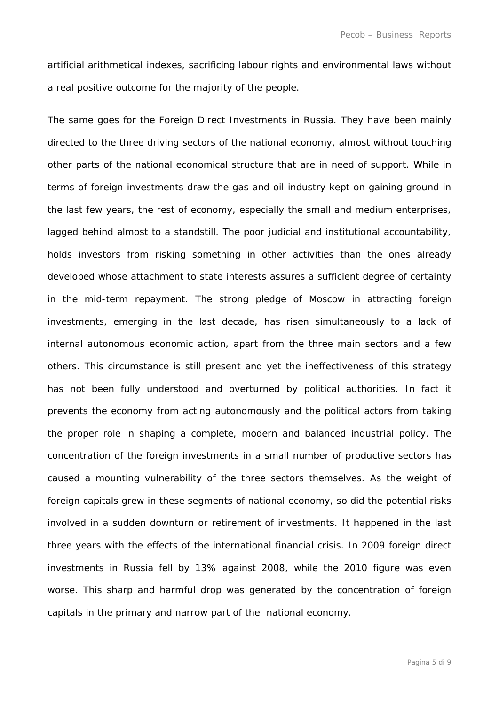artificial arithmetical indexes, sacrificing labour rights and environmental laws without a real positive outcome for the majority of the people.

The same goes for the Foreign Direct Investments in Russia. They have been mainly directed to the three driving sectors of the national economy, almost without touching other parts of the national economical structure that are in need of support. While in terms of foreign investments draw the gas and oil industry kept on gaining ground in the last few years, the rest of economy, especially the small and medium enterprises, lagged behind almost to a standstill. The poor judicial and institutional accountability, holds investors from risking something in other activities than the ones already developed whose attachment to state interests assures a sufficient degree of certainty in the mid-term repayment. The strong pledge of Moscow in attracting foreign investments, emerging in the last decade, has risen simultaneously to a lack of internal autonomous economic action, apart from the three main sectors and a few others. This circumstance is still present and yet the ineffectiveness of this strategy has not been fully understood and overturned by political authorities. In fact it prevents the economy from acting autonomously and the political actors from taking the proper role in shaping a complete, modern and balanced industrial policy. The concentration of the foreign investments in a small number of productive sectors has caused a mounting vulnerability of the three sectors themselves. As the weight of foreign capitals grew in these segments of national economy, so did the potential risks involved in a sudden downturn or retirement of investments. It happened in the last three years with the effects of the international financial crisis. In 2009 foreign direct investments in Russia fell by 13% against 2008, while the 2010 figure was even worse. This sharp and harmful drop was generated by the concentration of foreign capitals in the primary and narrow part of the national economy.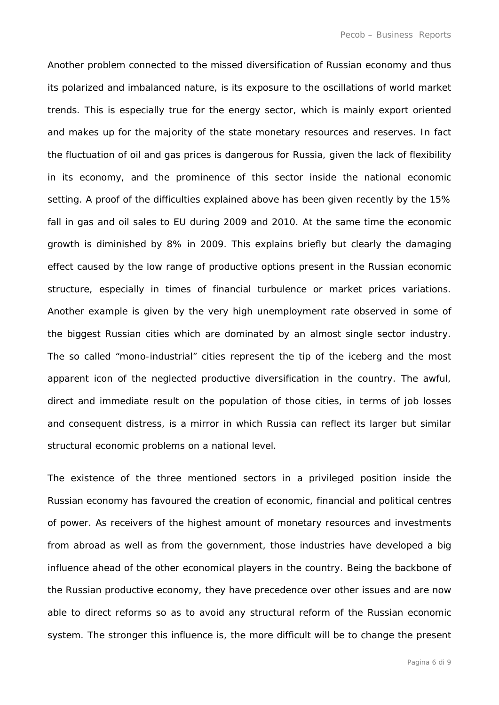Another problem connected to the missed diversification of Russian economy and thus its polarized and imbalanced nature, is its exposure to the oscillations of world market trends. This is especially true for the energy sector, which is mainly export oriented and makes up for the majority of the state monetary resources and reserves. In fact the fluctuation of oil and gas prices is dangerous for Russia, given the lack of flexibility in its economy, and the prominence of this sector inside the national economic setting. A proof of the difficulties explained above has been given recently by the 15% fall in gas and oil sales to EU during 2009 and 2010. At the same time the economic growth is diminished by 8% in 2009. This explains briefly but clearly the damaging effect caused by the low range of productive options present in the Russian economic structure, especially in times of financial turbulence or market prices variations. Another example is given by the very high unemployment rate observed in some of the biggest Russian cities which are dominated by an almost single sector industry. The so called "mono-industrial" cities represent the tip of the iceberg and the most apparent icon of the neglected productive diversification in the country. The awful, direct and immediate result on the population of those cities, in terms of job losses and consequent distress, is a mirror in which Russia can reflect its larger but similar structural economic problems on a national level.

The existence of the three mentioned sectors in a privileged position inside the Russian economy has favoured the creation of economic, financial and political centres of power. As receivers of the highest amount of monetary resources and investments from abroad as well as from the government, those industries have developed a big influence ahead of the other economical players in the country. Being the backbone of the Russian productive economy, they have precedence over other issues and are now able to direct reforms so as to avoid any structural reform of the Russian economic system. The stronger this influence is, the more difficult will be to change the present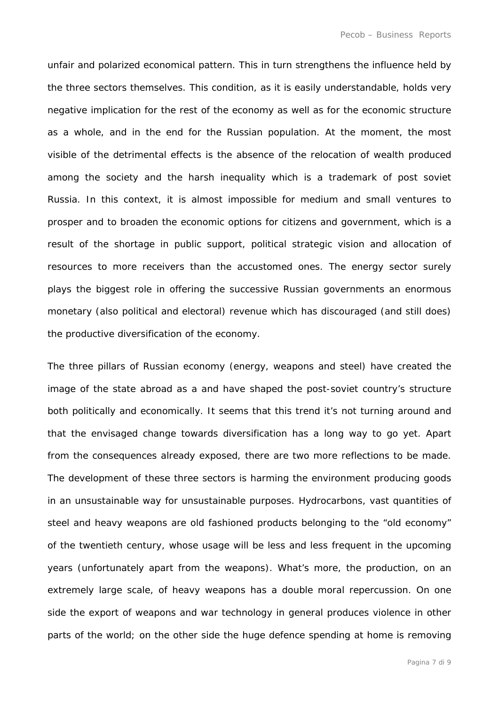unfair and polarized economical pattern. This in turn strengthens the influence held by the three sectors themselves. This condition, as it is easily understandable, holds very negative implication for the rest of the economy as well as for the economic structure as a whole, and in the end for the Russian population. At the moment, the most visible of the detrimental effects is the absence of the relocation of wealth produced among the society and the harsh inequality which is a trademark of post soviet Russia. In this context, it is almost impossible for medium and small ventures to prosper and to broaden the economic options for citizens and government, which is a result of the shortage in public support, political strategic vision and allocation of resources to more receivers than the accustomed ones. The energy sector surely plays the biggest role in offering the successive Russian governments an enormous monetary (also political and electoral) revenue which has discouraged (and still does) the productive diversification of the economy.

The three pillars of Russian economy (energy, weapons and steel) have created the image of the state abroad as a and have shaped the post-soviet country's structure both politically and economically. It seems that this trend it's not turning around and that the envisaged change towards diversification has a long way to go yet. Apart from the consequences already exposed, there are two more reflections to be made. The development of these three sectors is harming the environment producing goods in an unsustainable way for unsustainable purposes. Hydrocarbons, vast quantities of steel and heavy weapons are old fashioned products belonging to the "old economy" of the twentieth century, whose usage will be less and less frequent in the upcoming years (unfortunately apart from the weapons). What's more, the production, on an extremely large scale, of heavy weapons has a double moral repercussion. On one side the export of weapons and war technology in general produces violence in other parts of the world; on the other side the huge defence spending at home is removing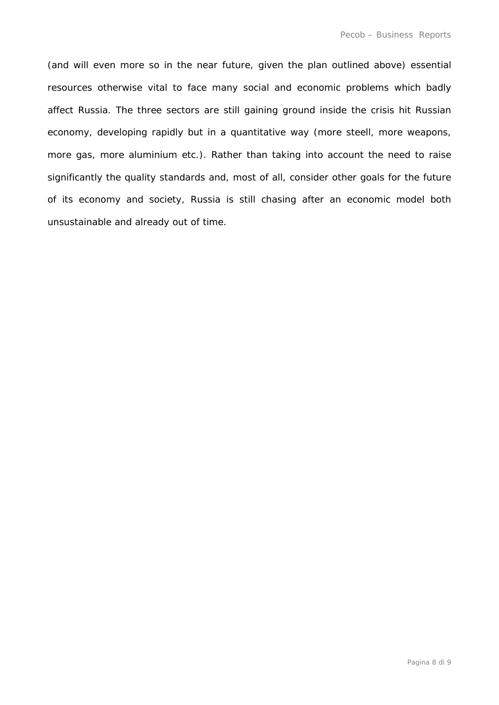(and will even more so in the near future, given the plan outlined above) essential resources otherwise vital to face many social and economic problems which badly affect Russia. The three sectors are still gaining ground inside the crisis hit Russian economy, developing rapidly but in a quantitative way (more steell, more weapons, more gas, more aluminium etc.). Rather than taking into account the need to raise significantly the quality standards and, most of all, consider other goals for the future of its economy and society, Russia is still chasing after an economic model both unsustainable and already out of time.